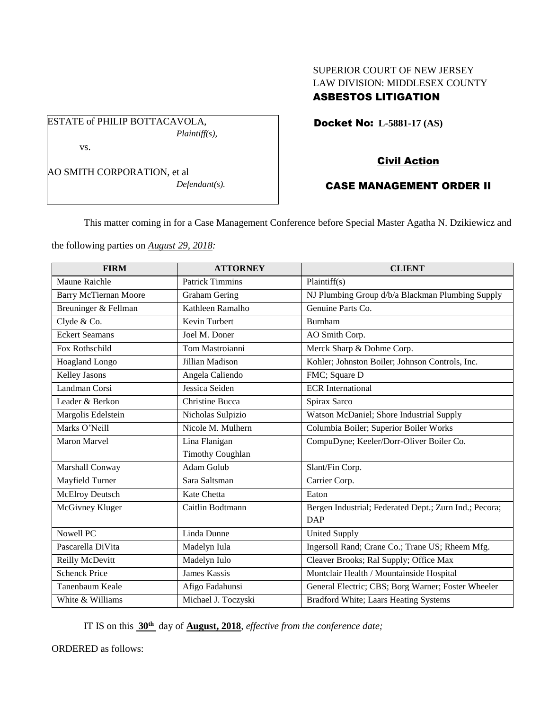# SUPERIOR COURT OF NEW JERSEY LAW DIVISION: MIDDLESEX COUNTY ASBESTOS LITIGATION

Docket No: **L-5881-17 (AS)** 

AO SMITH CORPORATION, et al

vs.

ESTATE of PHILIP BOTTACAVOLA,

*Defendant(s).*

*Plaintiff(s),*

# Civil Action

## CASE MANAGEMENT ORDER II

This matter coming in for a Case Management Conference before Special Master Agatha N. Dzikiewicz and

the following parties on *August 29, 2018:*

| <b>FIRM</b>                  | <b>ATTORNEY</b>         | <b>CLIENT</b>                                          |
|------------------------------|-------------------------|--------------------------------------------------------|
| <b>Maune Raichle</b>         | <b>Patrick Timmins</b>  | Plaintiff(s)                                           |
| <b>Barry McTiernan Moore</b> | <b>Graham Gering</b>    | NJ Plumbing Group d/b/a Blackman Plumbing Supply       |
| Breuninger & Fellman         | Kathleen Ramalho        | Genuine Parts Co.                                      |
| Clyde & Co.                  | Kevin Turbert           | Burnham                                                |
| <b>Eckert Seamans</b>        | Joel M. Doner           | AO Smith Corp.                                         |
| Fox Rothschild               | Tom Mastroianni         | Merck Sharp & Dohme Corp.                              |
| Hoagland Longo               | Jillian Madison         | Kohler; Johnston Boiler; Johnson Controls, Inc.        |
| Kelley Jasons                | Angela Caliendo         | FMC; Square D                                          |
| Landman Corsi                | Jessica Seiden          | <b>ECR</b> International                               |
| Leader & Berkon              | Christine Bucca         | Spirax Sarco                                           |
| Margolis Edelstein           | Nicholas Sulpizio       | Watson McDaniel; Shore Industrial Supply               |
| Marks O'Neill                | Nicole M. Mulhern       | Columbia Boiler; Superior Boiler Works                 |
| <b>Maron Marvel</b>          | Lina Flanigan           | CompuDyne; Keeler/Dorr-Oliver Boiler Co.               |
|                              | <b>Timothy Coughlan</b> |                                                        |
| Marshall Conway              | Adam Golub              | Slant/Fin Corp.                                        |
| Mayfield Turner              | Sara Saltsman           | Carrier Corp.                                          |
| McElroy Deutsch              | Kate Chetta             | Eaton                                                  |
| McGivney Kluger              | Caitlin Bodtmann        | Bergen Industrial; Federated Dept.; Zurn Ind.; Pecora; |
|                              |                         | <b>DAP</b>                                             |
| Nowell PC                    | Linda Dunne             | <b>United Supply</b>                                   |
| Pascarella DiVita            | Madelyn Iula            | Ingersoll Rand; Crane Co.; Trane US; Rheem Mfg.        |
| Reilly McDevitt              | Madelyn Iulo            | Cleaver Brooks; Ral Supply; Office Max                 |
| <b>Schenck Price</b>         | <b>James Kassis</b>     | Montclair Health / Mountainside Hospital               |
| Tanenbaum Keale              | Afigo Fadahunsi         | General Electric; CBS; Borg Warner; Foster Wheeler     |
| White & Williams             | Michael J. Toczyski     | Bradford White; Laars Heating Systems                  |

IT IS on this **30th** day of **August, 2018**, *effective from the conference date;*

ORDERED as follows: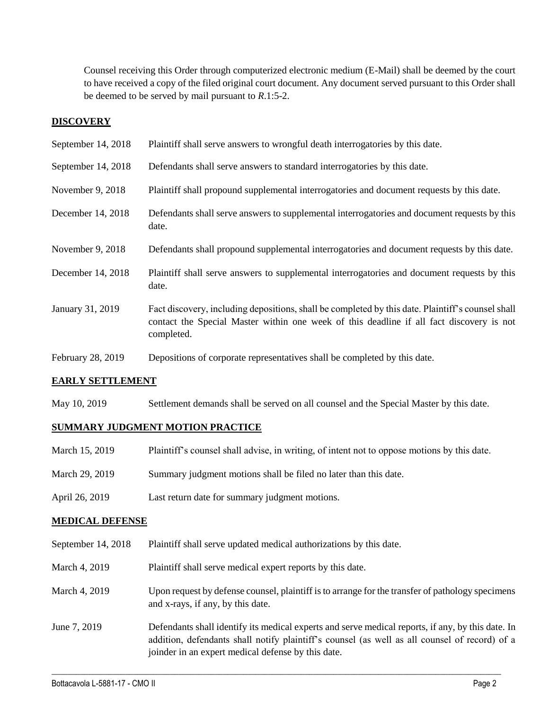Counsel receiving this Order through computerized electronic medium (E-Mail) shall be deemed by the court to have received a copy of the filed original court document. Any document served pursuant to this Order shall be deemed to be served by mail pursuant to *R*.1:5-2.

### **DISCOVERY**

| September 14, 2018 | Plaintiff shall serve answers to wrongful death interrogatories by this date.                                                                                                                               |
|--------------------|-------------------------------------------------------------------------------------------------------------------------------------------------------------------------------------------------------------|
| September 14, 2018 | Defendants shall serve answers to standard interrogatories by this date.                                                                                                                                    |
| November 9, 2018   | Plaintiff shall propound supplemental interrogatories and document requests by this date.                                                                                                                   |
| December 14, 2018  | Defendants shall serve answers to supplemental interrogatories and document requests by this<br>date.                                                                                                       |
| November 9, 2018   | Defendants shall propound supplemental interrogatories and document requests by this date.                                                                                                                  |
| December 14, 2018  | Plaintiff shall serve answers to supplemental interrogatories and document requests by this<br>date.                                                                                                        |
| January 31, 2019   | Fact discovery, including depositions, shall be completed by this date. Plaintiff's counsel shall<br>contact the Special Master within one week of this deadline if all fact discovery is not<br>completed. |
| February 28, 2019  | Depositions of corporate representatives shall be completed by this date.                                                                                                                                   |

### **EARLY SETTLEMENT**

May 10, 2019 Settlement demands shall be served on all counsel and the Special Master by this date.

## **SUMMARY JUDGMENT MOTION PRACTICE**

| March 15, 2019 | Plaintiff's counsel shall advise, in writing, of intent not to oppose motions by this date. |
|----------------|---------------------------------------------------------------------------------------------|
| March 29, 2019 | Summary judgment motions shall be filed no later than this date.                            |
| April 26, 2019 | Last return date for summary judgment motions.                                              |

### **MEDICAL DEFENSE**

- September 14, 2018 Plaintiff shall serve updated medical authorizations by this date.
- March 4, 2019 Plaintiff shall serve medical expert reports by this date.
- March 4, 2019 Upon request by defense counsel, plaintiff is to arrange for the transfer of pathology specimens and x-rays, if any, by this date.
- June 7, 2019 Defendants shall identify its medical experts and serve medical reports, if any, by this date. In addition, defendants shall notify plaintiff's counsel (as well as all counsel of record) of a joinder in an expert medical defense by this date.

 $\_$  ,  $\_$  ,  $\_$  ,  $\_$  ,  $\_$  ,  $\_$  ,  $\_$  ,  $\_$  ,  $\_$  ,  $\_$  ,  $\_$  ,  $\_$  ,  $\_$  ,  $\_$  ,  $\_$  ,  $\_$  ,  $\_$  ,  $\_$  ,  $\_$  ,  $\_$  ,  $\_$  ,  $\_$  ,  $\_$  ,  $\_$  ,  $\_$  ,  $\_$  ,  $\_$  ,  $\_$  ,  $\_$  ,  $\_$  ,  $\_$  ,  $\_$  ,  $\_$  ,  $\_$  ,  $\_$  ,  $\_$  ,  $\_$  ,